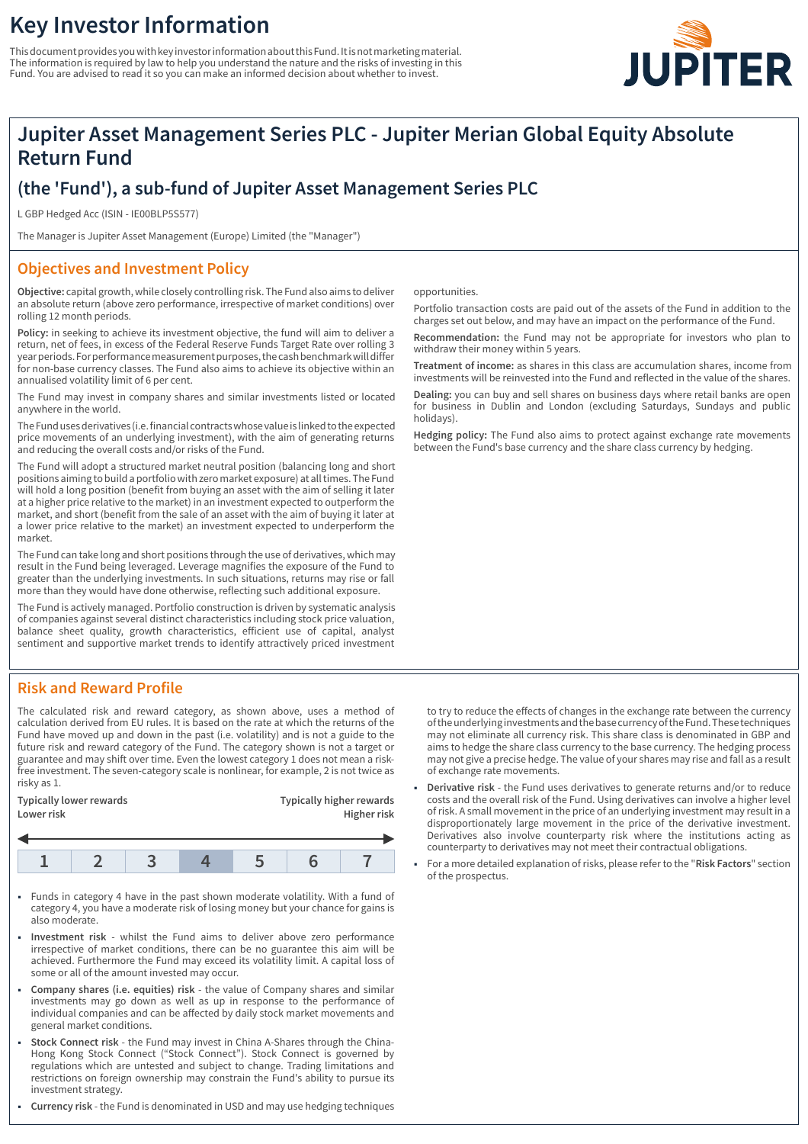# **Key Investor Information**

This document provides you with key investor information about this Fund. It is not marketing material. The information is required by law to help you understand the nature and the risks of investing in this Fund. You are advised to read it so you can make an informed decision about whether to invest.



## **Jupiter Asset Management Series PLC - Jupiter Merian Global Equity Absolute Return Fund**

### **(the 'Fund'), a sub-fund of Jupiter Asset Management Series PLC**

L GBP Hedged Acc (ISIN - IE00BLP5S577)

The Manager is Jupiter Asset Management (Europe) Limited (the "Manager")

#### **Objectives and Investment Policy**

**Objective:** capital growth, while closely controlling risk. The Fund also aims to deliver an absolute return (above zero performance, irrespective of market conditions) over rolling 12 month periods.

**Policy:** in seeking to achieve its investment objective, the fund will aim to deliver a return, net of fees, in excess of the Federal Reserve Funds Target Rate over rolling 3 year periods. For performance measurement purposes, the cash benchmark will differ for non-base currency classes. The Fund also aims to achieve its objective within an annualised volatility limit of 6 per cent.

The Fund may invest in company shares and similar investments listed or located anywhere in the world.

The Fund uses derivatives (i.e. financial contracts whose value is linked to the expected price movements of an underlying investment), with the aim of generating returns and reducing the overall costs and/or risks of the Fund.

The Fund will adopt a structured market neutral position (balancing long and short positions aiming to build a portfolio with zero market exposure) at all times. The Fund will hold a long position (benefit from buying an asset with the aim of selling it later at a higher price relative to the market) in an investment expected to outperform the market, and short (benefit from the sale of an asset with the aim of buying it later at a lower price relative to the market) an investment expected to underperform the market.

The Fund can take long and short positions through the use of derivatives, which may result in the Fund being leveraged. Leverage magnifies the exposure of the Fund to greater than the underlying investments. In such situations, returns may rise or fall more than they would have done otherwise, reflecting such additional exposure.

The Fund is actively managed. Portfolio construction is driven by systematic analysis of companies against several distinct characteristics including stock price valuation, balance sheet quality, growth characteristics, efficient use of capital, analyst sentiment and supportive market trends to identify attractively priced investment

opportunities.

Portfolio transaction costs are paid out of the assets of the Fund in addition to the charges set out below, and may have an impact on the performance of the Fund.

**Recommendation:** the Fund may not be appropriate for investors who plan to withdraw their money within 5 years.

**Treatment of income:** as shares in this class are accumulation shares, income from investments will be reinvested into the Fund and reflected in the value of the shares.

**Dealing:** you can buy and sell shares on business days where retail banks are open for business in Dublin and London (excluding Saturdays, Sundays and public holidays).

**Hedging policy:** The Fund also aims to protect against exchange rate movements between the Fund's base currency and the share class currency by hedging.

### **Risk and Reward Profile**

The calculated risk and reward category, as shown above, uses a method of calculation derived from EU rules. It is based on the rate at which the returns of the Fund have moved up and down in the past (i.e. volatility) and is not a guide to the future risk and reward category of the Fund. The category shown is not a target or guarantee and may shift over time. Even the lowest category 1 does not mean a riskfree investment. The seven-category scale is nonlinear, for example, 2 is not twice as risky as 1.

| Typically lower rewards<br>Lower risk |  |  |  | <b>Typically higher rewards</b><br>Higher risk |  |  |
|---------------------------------------|--|--|--|------------------------------------------------|--|--|
|                                       |  |  |  |                                                |  |  |
|                                       |  |  |  |                                                |  |  |

- 1 Funds in category 4 have in the past shown moderate volatility. With a fund of category 4, you have a moderate risk of losing money but your chance for gains is also moderate.
- 1 **Investment risk** whilst the Fund aims to deliver above zero performance irrespective of market conditions, there can be no guarantee this aim will be achieved. Furthermore the Fund may exceed its volatility limit. A capital loss of some or all of the amount invested may occur.
- 1 **Company shares (i.e. equities) risk** the value of Company shares and similar investments may go down as well as up in response to the performance of individual companies and can be affected by daily stock market movements and general market conditions.
- 1 **Stock Connect risk** the Fund may invest in China A-Shares through the China-Hong Kong Stock Connect ("Stock Connect"). Stock Connect is governed by regulations which are untested and subject to change. Trading limitations and restrictions on foreign ownership may constrain the Fund's ability to pursue its investment strategy.
- 1 **Currency risk** the Fund is denominated in USD and may use hedging techniques

to try to reduce the effects of changes in the exchange rate between the currency of the underlying investments and the base currency of the Fund. These techniques may not eliminate all currency risk. This share class is denominated in GBP and aims to hedge the share class currency to the base currency. The hedging process may not give a precise hedge. The value of your shares may rise and fall as a result of exchange rate movements.

- 1 **Derivative risk** the Fund uses derivatives to generate returns and/or to reduce costs and the overall risk of the Fund. Using derivatives can involve a higher level of risk. A small movement in the price of an underlying investment may result in a disproportionately large movement in the price of the derivative investment. Derivatives also involve counterparty risk where the institutions acting as counterparty to derivatives may not meet their contractual obligations.
- 1 For a more detailed explanation of risks, please refer to the "**Risk Factors**" section of the prospectus.